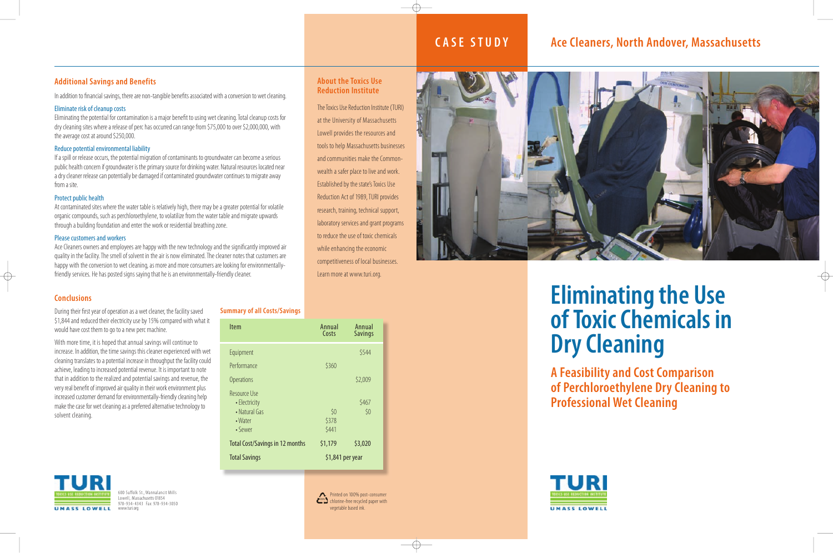In addition to financial savings, there are non-tangible benefits associated with a conversion to wet cleaning.

### Eliminate risk of cleanup costs

Eliminating the potential for contamination is a major benefit to using wet cleaning. Total cleanup costs for dry cleaning sites where a release of perc has occurred can range from \$75,000 to over \$2,000,000, with the average cost at around \$250,000.

### Reduce potential environmental liability

If a spill or release occurs, the potential migration of contaminants to groundwater can become a serious public health concern if groundwater is the primary source for drinking water. Natural resources located near a dry cleaner release can potentially be damaged if contaminated groundwater continues to migrate away from a site.

### Protect public health

At contaminated sites where the water table is relatively high, there may be a greater potential for volatile organic compounds, such as perchloroethylene, to volatilize from the water table and migrate upwards through a building foundation and enter the work or residential breathing zone.

### Please customers and workers

Ace Cleaners owners and employees are happy with the new technology and the significantly improved air quality in the facility. The smell of solvent in the air is now eliminated. The cleaner notes that customers are happy with the conversion to wet cleaning, as more and more consumers are looking for environmentallyfriendly services. He has posted signs saying that he is an environmentally-friendly cleaner.

Reduction Act of 1989, TURI provides research, training, technical support,

600 Suffolk St., Wannalancit Mills Lowell, Massachusetts 01854 978-934- 4343 Fax: 978-934-3050 www.turi.org

### **Ace Cleaners, North Andover, Massachusetts**

### **Additional Savings and Benefits**



### **Conclusions**

During their first year of operation as a wet cleaner, the facility saved \$1,844 and reduced their electricity use by 15% compared with what it would have cost them to go to a new perc machine.

With more time, it is hoped that annual savings will continue to increase. In addition, the time savings this cleaner experienced with wet cleaning translates to a potential increase in throughput the facility could achieve, leading to increased potential revenue. It is important to note that in addition to the realized and potential savings and revenue, the very real benefit of improved air quality in their work environment plus increased customer demand for environmentally-friendly cleaning help make the case for wet cleaning as a preferred alternative technology to solvent cleaning.



### **CASE ST U D Y**

### **About the Toxics Use Reduction Institute** The Toxics Use Reduction Institute (TURI) at the University of Massachusetts Lowell provides the resources and

tools to help Massachusetts businesses and communities make the Common-

wealth a safer place to live and work. Established by the state's Toxics Use

laboratory services and grant programs to reduce the use of toxic chemicals

while enhancing the economic

competitiveness of local businesses.



Learn more at www.turi.org.

| <b>Item</b>                                                              | Annual<br>Costs  | Annual<br><b>Savings</b> |
|--------------------------------------------------------------------------|------------------|--------------------------|
| Equipment                                                                |                  | \$544                    |
| Performance                                                              | \$360            |                          |
| <b>Operations</b>                                                        |                  | \$2,009                  |
| <b>Resource Use</b><br>• Electricity<br>• Natural Gas<br>$\bullet$ Water | \$0<br>\$378     | \$467<br>\$0             |
| • Sewer                                                                  | \$441            |                          |
| <b>Total Cost/Savings in 12 months</b>                                   | \$1,179          | \$3,020                  |
| <b>Total Savings</b>                                                     | \$1,841 per year |                          |

### **Summary of all Costs/Savings**

# **Eliminating the Use of Toxic Chemicals in Dry Cleaning**

**A Feasibility and Cost Comparison of Perchloroethylene Dry Cleaning to Professional Wet Cleaning**